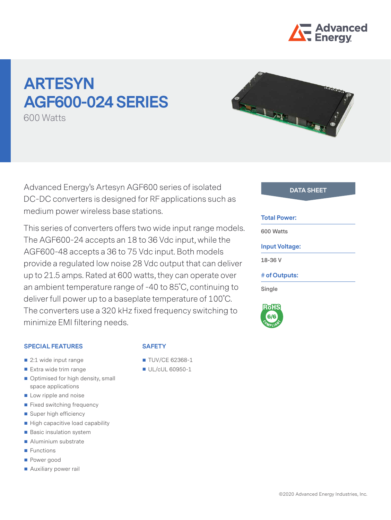

# **ARTESYN AGF600-024 SERIES**

600 Watts



This series of converters offers two wide input range models. The AGF600-24 accepts an 18 to 36 Vdc input, while the AGF600-48 accepts a 36 to 75 Vdc input. Both models provide a regulated low noise 28 Vdc output that can deliver up to 21.5 amps. Rated at 600 watts, they can operate over an ambient temperature range of -40 to 85˚C, continuing to deliver full power up to a baseplate temperature of 100˚C. The converters use a 320 kHz fixed frequency switching to minimize EMI filtering needs.

#### **SPECIAL FEATURES**

- 2:1 wide input range
- Extra wide trim range
- Optimised for high density, small space applications
- Low ripple and noise
- **Fixed switching frequency**
- Super high efficiency
- $\blacksquare$  High capacitive load capability
- **Basic insulation system**
- Aluminium substrate
- **Functions**
- Power good
- **Auxiliary power rail**

# **SAFETY**

- **TUV/CE 62368-1**
- UL/cUL 60950-1

#### **Total Power:**

**600 Watts**

#### **Input Voltage:**

**18-36 V**

#### **# of Outputs:**

**Single**

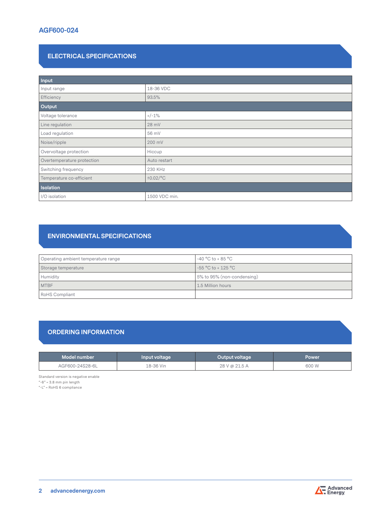# **ELECTRICAL SPECIFICATIONS**

| Input                      |                |  |  |
|----------------------------|----------------|--|--|
| Input range                | 18-36 VDC      |  |  |
| Efficiency                 | 93.5%          |  |  |
| Output                     |                |  |  |
| Voltage tolerance          | $+/-1%$        |  |  |
| Line regulation            | 28 mV          |  |  |
| Load regulation            | 56 mV          |  |  |
| Noise/ripple               | 200 mV         |  |  |
| Overvoltage protection     | Hiccup         |  |  |
| Overtemperature protection | Auto restart   |  |  |
| Switching frequency        | 230 KHz        |  |  |
| Temperature co-efficient   | $\pm 0.02$ /°C |  |  |
| Isolation                  |                |  |  |
| I/O isolation              | 1500 VDC min.  |  |  |

# **ENVIRONMENTAL SPECIFICATIONS**

| Operating ambient temperature range | $-40 °C$ to + 85 $°C$      |
|-------------------------------------|----------------------------|
| Storage temperature                 | $-55$ °C to + 125 °C       |
| Humidity                            | 5% to 95% (non-condensing) |
| <b>MTBF</b>                         | 1.5 Million hours          |
| RoHS Compliant                      |                            |

# **ORDERING INFORMATION**

| Model number    | Input voltage | Output voltage | <b>Power</b> |
|-----------------|---------------|----------------|--------------|
| AGF600-24S28-6L | 18-36 Vin     | 28 V @ 21.5 A  | 600 W        |

Standard version is negative enable

"-6" = 3.8 mm pin length

"-L" = RoHS 6 compliance

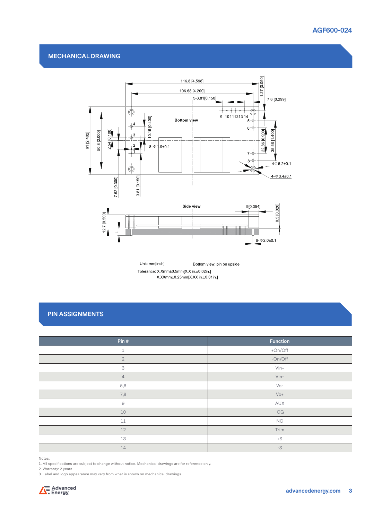#### **MECHANICAL DRAWING**



Unit: mm[inch] Bottom view: pin on upside Tolerance: X.Xmm±0.5mm[X.X in.±0.02in.] X.XXmm±0.25mm[X.XX in ±0.01in.]

# **PIN ASSIGNMENTS**

| Pin#                      | Function             |
|---------------------------|----------------------|
|                           |                      |
| $\mathbf 1$               | +On/Off              |
| $\overline{2}$            | $-On/Off$            |
| $\ensuremath{\mathsf{3}}$ | $V$ in+              |
| $\overline{4}$            | $V$ in-              |
| 5,6                       | $Vo-$                |
| 7,8                       | $V_0 +$              |
| $\Theta$                  | AUX                  |
| 10                        | IOG                  |
| 11                        | NC                   |
| 12                        | Trim                 |
| 13                        | $+S$                 |
| 14                        | $\text{-}\mathbb{S}$ |

Notes:

1. All specifications are subject to change without notice. Mechanical drawings are for reference only.

2. Warranty: 2 years

3. Label and logo appearance may vary from what is shown on mechanical drawings.